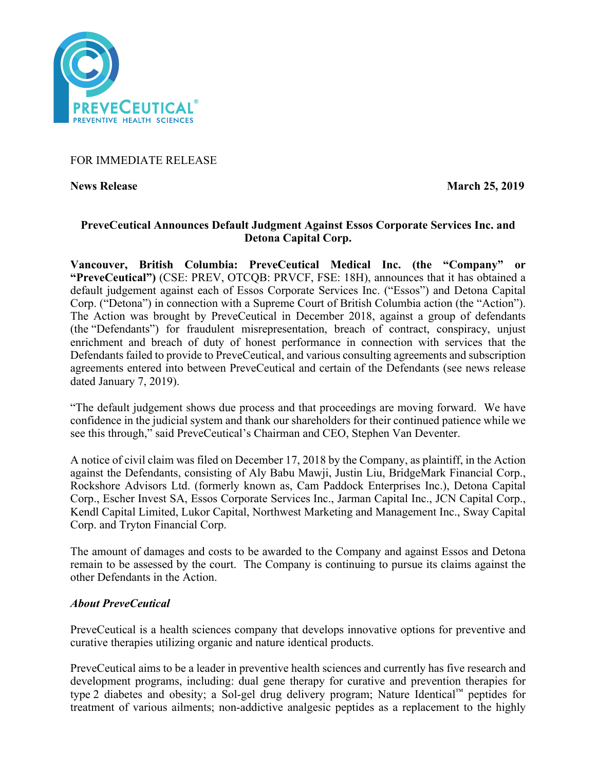

# FOR IMMEDIATE RELEASE

**News Release March 25, 2019** 

# **PreveCeutical Announces Default Judgment Against Essos Corporate Services Inc. and Detona Capital Corp.**

**Vancouver, British Columbia: PreveCeutical Medical Inc. (the "Company" or "PreveCeutical")** (CSE: PREV, OTCQB: PRVCF, FSE: 18H), announces that it has obtained a default judgement against each of Essos Corporate Services Inc. ("Essos") and Detona Capital Corp. ("Detona") in connection with a Supreme Court of British Columbia action (the "Action"). The Action was brought by PreveCeutical in December 2018, against a group of defendants (the "Defendants") for fraudulent misrepresentation, breach of contract, conspiracy, unjust enrichment and breach of duty of honest performance in connection with services that the Defendants failed to provide to PreveCeutical, and various consulting agreements and subscription agreements entered into between PreveCeutical and certain of the Defendants (see news release dated January 7, 2019).

"The default judgement shows due process and that proceedings are moving forward. We have confidence in the judicial system and thank our shareholders for their continued patience while we see this through," said PreveCeutical's Chairman and CEO, Stephen Van Deventer.

A notice of civil claim was filed on December 17, 2018 by the Company, as plaintiff, in the Action against the Defendants, consisting of Aly Babu Mawji, Justin Liu, BridgeMark Financial Corp., Rockshore Advisors Ltd. (formerly known as, Cam Paddock Enterprises Inc.), Detona Capital Corp., Escher Invest SA, Essos Corporate Services Inc., Jarman Capital Inc., JCN Capital Corp., Kendl Capital Limited, Lukor Capital, Northwest Marketing and Management Inc., Sway Capital Corp. and Tryton Financial Corp.

The amount of damages and costs to be awarded to the Company and against Essos and Detona remain to be assessed by the court. The Company is continuing to pursue its claims against the other Defendants in the Action.

## *About PreveCeutical*

PreveCeutical is a health sciences company that develops innovative options for preventive and curative therapies utilizing organic and nature identical products.

PreveCeutical aims to be a leader in preventive health sciences and currently has five research and development programs, including: dual gene therapy for curative and prevention therapies for type 2 diabetes and obesity; a Sol-gel drug delivery program; Nature Identical™ peptides for treatment of various ailments; non-addictive analgesic peptides as a replacement to the highly